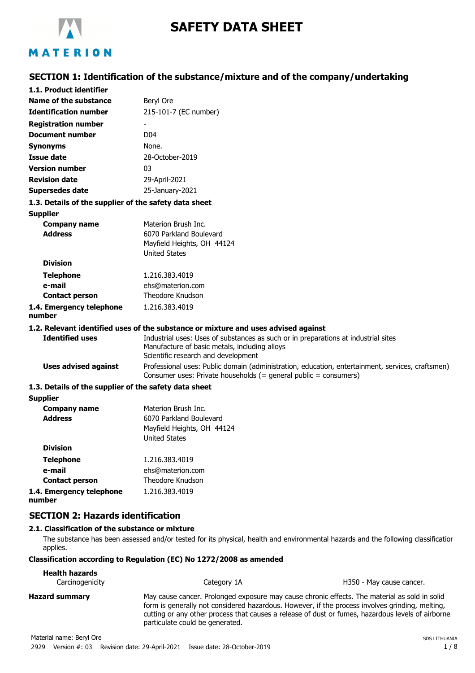

# **SAFETY DATA SHEET**

# **SECTION 1: Identification of the substance/mixture and of the company/undertaking**

| 1.1. Product identifier                               |                                                                                                                                                                            |
|-------------------------------------------------------|----------------------------------------------------------------------------------------------------------------------------------------------------------------------------|
| Name of the substance                                 | Beryl Ore                                                                                                                                                                  |
| <b>Identification number</b>                          | 215-101-7 (EC number)                                                                                                                                                      |
| <b>Registration number</b>                            |                                                                                                                                                                            |
| Document number                                       | D <sub>04</sub>                                                                                                                                                            |
| <b>Synonyms</b>                                       | None.                                                                                                                                                                      |
| <b>Issue date</b>                                     | 28-October-2019                                                                                                                                                            |
| <b>Version number</b>                                 | 03                                                                                                                                                                         |
| <b>Revision date</b>                                  | 29-April-2021                                                                                                                                                              |
| <b>Supersedes date</b>                                | 25-January-2021                                                                                                                                                            |
| 1.3. Details of the supplier of the safety data sheet |                                                                                                                                                                            |
| <b>Supplier</b>                                       |                                                                                                                                                                            |
| <b>Company name</b>                                   | Materion Brush Inc.                                                                                                                                                        |
| <b>Address</b>                                        | 6070 Parkland Boulevard                                                                                                                                                    |
|                                                       | Mayfield Heights, OH 44124                                                                                                                                                 |
|                                                       | <b>United States</b>                                                                                                                                                       |
| <b>Division</b>                                       |                                                                                                                                                                            |
| <b>Telephone</b>                                      | 1.216.383.4019                                                                                                                                                             |
| e-mail                                                | ehs@materion.com                                                                                                                                                           |
| <b>Contact person</b>                                 | Theodore Knudson                                                                                                                                                           |
| 1.4. Emergency telephone<br>number                    | 1.216.383.4019                                                                                                                                                             |
|                                                       | 1.2. Relevant identified uses of the substance or mixture and uses advised against                                                                                         |
| <b>Identified uses</b>                                | Industrial uses: Uses of substances as such or in preparations at industrial sites<br>Manufacture of basic metals, including alloys<br>Scientific research and development |
| <b>Uses advised against</b>                           | Professional uses: Public domain (administration, education, entertainment, services, craftsmen)<br>Consumer uses: Private households (= general public = consumers)       |
| 1.3. Details of the supplier of the safety data sheet |                                                                                                                                                                            |
| <b>Supplier</b>                                       |                                                                                                                                                                            |
| <b>Company name</b>                                   | Materion Brush Inc.                                                                                                                                                        |
| <b>Address</b>                                        | 6070 Parkland Boulevard                                                                                                                                                    |
|                                                       | Mayfield Heights, OH 44124                                                                                                                                                 |
|                                                       | <b>United States</b>                                                                                                                                                       |
| <b>Division</b>                                       |                                                                                                                                                                            |
| <b>Telephone</b>                                      | 1.216.383.4019                                                                                                                                                             |
| e-mail                                                | ehs@materion.com                                                                                                                                                           |

**Contact person** Theodore Knudson **1.4. Emergency telephone number** 1.216.383.4019

# **SECTION 2: Hazards identification**

# **2.1. Classification of the substance or mixture**

The substance has been assessed and/or tested for its physical, health and environmental hazards and the following classification applies.

# **Classification according to Regulation (EC) No 1272/2008 as amended**

| <b>Health hazards</b><br>Carcinogenicity | Category 1A                                                                                                                                                                                                                                                                                                                              | H350 - May cause cancer. |
|------------------------------------------|------------------------------------------------------------------------------------------------------------------------------------------------------------------------------------------------------------------------------------------------------------------------------------------------------------------------------------------|--------------------------|
| <b>Hazard summary</b>                    | May cause cancer. Prolonged exposure may cause chronic effects. The material as sold in solid<br>form is generally not considered hazardous. However, if the process involves grinding, melting,<br>cutting or any other process that causes a release of dust or fumes, hazardous levels of airborne<br>particulate could be generated. |                          |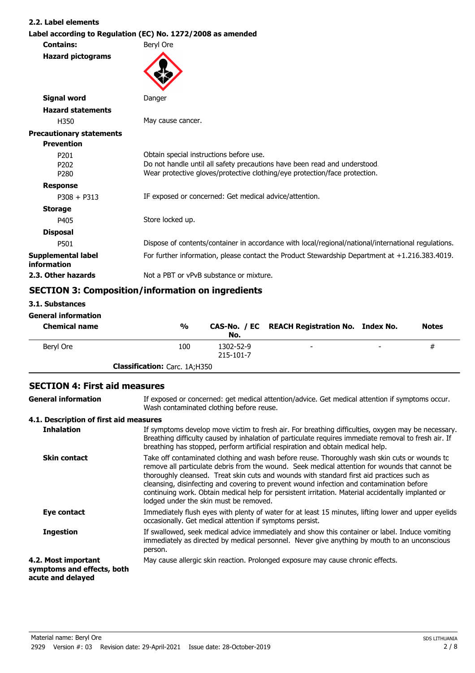#### **2.2. Label elements**

|                                          | Label according to Regulation (EC) No. 1272/2008 as amended                                                                                                                                        |  |  |
|------------------------------------------|----------------------------------------------------------------------------------------------------------------------------------------------------------------------------------------------------|--|--|
| <b>Contains:</b>                         | Beryl Ore                                                                                                                                                                                          |  |  |
| <b>Hazard pictograms</b>                 |                                                                                                                                                                                                    |  |  |
| <b>Signal word</b>                       | Danger                                                                                                                                                                                             |  |  |
| <b>Hazard statements</b>                 |                                                                                                                                                                                                    |  |  |
| H350                                     | May cause cancer.                                                                                                                                                                                  |  |  |
| <b>Precautionary statements</b>          |                                                                                                                                                                                                    |  |  |
| <b>Prevention</b>                        |                                                                                                                                                                                                    |  |  |
| P201<br>P <sub>202</sub><br>P280         | Obtain special instructions before use.<br>Do not handle until all safety precautions have been read and understood.<br>Wear protective gloves/protective clothing/eye protection/face protection. |  |  |
| <b>Response</b>                          |                                                                                                                                                                                                    |  |  |
| $P308 + P313$                            | IF exposed or concerned: Get medical advice/attention.                                                                                                                                             |  |  |
| <b>Storage</b>                           |                                                                                                                                                                                                    |  |  |
| P405                                     | Store locked up.                                                                                                                                                                                   |  |  |
| <b>Disposal</b>                          |                                                                                                                                                                                                    |  |  |
| P501                                     | Dispose of contents/container in accordance with local/regional/national/international regulations.                                                                                                |  |  |
| <b>Supplemental label</b><br>information | For further information, please contact the Product Stewardship Department at +1.216.383.4019.                                                                                                     |  |  |
| 2.3. Other hazards                       | Not a PBT or vPvB substance or mixture.                                                                                                                                                            |  |  |
|                                          | CECTION 2. Composition (information on ingradiants                                                                                                                                                 |  |  |

# **SECTION 3: Composition/information on ingredients**

**3.1. Substances**

#### **General information**

| <b>Chemical name</b> | $\frac{1}{2}$                        | No.                    | CAS-No. / EC REACH Registration No. Index No. |                          | <b>Notes</b> |
|----------------------|--------------------------------------|------------------------|-----------------------------------------------|--------------------------|--------------|
| Beryl Ore            | 100                                  | 1302-52-9<br>215-101-7 | $\overline{\phantom{0}}$                      | $\overline{\phantom{a}}$ | #            |
|                      | <b>Classification:</b> Carc. 1A;H350 |                        |                                               |                          |              |

# **SECTION 4: First aid measures**

If exposed or concerned: get medical attention/advice. Get medical attention if symptoms occur. Wash contaminated clothing before reuse. **General information 4.1. Description of first aid measures** If symptoms develop move victim to fresh air. For breathing difficulties, oxygen may be necessary. Breathing difficulty caused by inhalation of particulate requires immediate removal to fresh air. If breathing has stopped, perform artificial respiration and obtain medical help. **Inhalation** Take off contaminated clothing and wash before reuse. Thoroughly wash skin cuts or wounds to remove all particulate debris from the wound. Seek medical attention for wounds that cannot be thoroughly cleansed. Treat skin cuts and wounds with standard first aid practices such as cleansing, disinfecting and covering to prevent wound infection and contamination before continuing work. Obtain medical help for persistent irritation. Material accidentally implanted or lodged under the skin must be removed. **Skin contact** Immediately flush eyes with plenty of water for at least 15 minutes, lifting lower and upper eyelids occasionally. Get medical attention if symptoms persist. **Eye contact** If swallowed, seek medical advice immediately and show this container or label. Induce vomiting immediately as directed by medical personnel. Never give anything by mouth to an unconscious person. **Ingestion 4.2. Most important** May cause allergic skin reaction. Prolonged exposure may cause chronic effects. **symptoms and effects, both acute and delayed**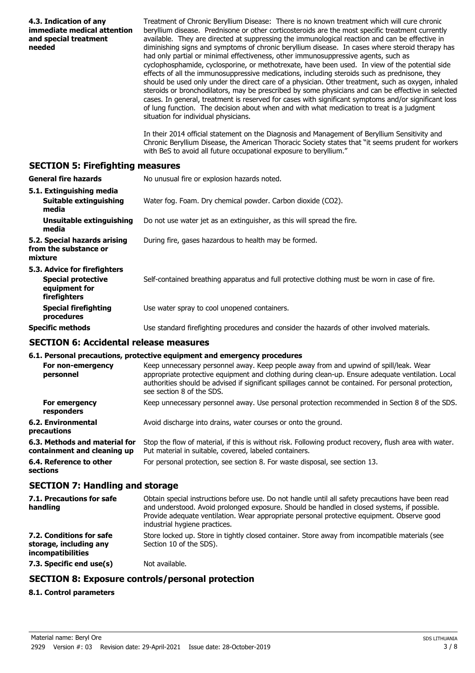| 4.3. Indication of any<br>immediate medical attention<br>and special treatment<br>needed   | Treatment of Chronic Beryllium Disease: There is no known treatment which will cure chronic<br>beryllium disease. Prednisone or other corticosteroids are the most specific treatment currently<br>available. They are directed at suppressing the immunological reaction and can be effective in<br>diminishing signs and symptoms of chronic beryllium disease. In cases where steroid therapy has<br>had only partial or minimal effectiveness, other immunosuppressive agents, such as<br>cyclophosphamide, cyclosporine, or methotrexate, have been used. In view of the potential side<br>effects of all the immunosuppressive medications, including steroids such as prednisone, they<br>should be used only under the direct care of a physician. Other treatment, such as oxygen, inhaled<br>steroids or bronchodilators, may be prescribed by some physicians and can be effective in selected<br>cases. In general, treatment is reserved for cases with significant symptoms and/or significant loss<br>of lung function. The decision about when and with what medication to treat is a judgment<br>situation for individual physicians.<br>In their 2014 official statement on the Diagnosis and Management of Beryllium Sensitivity and<br>Chronic Beryllium Disease, the American Thoracic Society states that "it seems prudent for workers |
|--------------------------------------------------------------------------------------------|---------------------------------------------------------------------------------------------------------------------------------------------------------------------------------------------------------------------------------------------------------------------------------------------------------------------------------------------------------------------------------------------------------------------------------------------------------------------------------------------------------------------------------------------------------------------------------------------------------------------------------------------------------------------------------------------------------------------------------------------------------------------------------------------------------------------------------------------------------------------------------------------------------------------------------------------------------------------------------------------------------------------------------------------------------------------------------------------------------------------------------------------------------------------------------------------------------------------------------------------------------------------------------------------------------------------------------------------------------------|
|                                                                                            | with BeS to avoid all future occupational exposure to beryllium."                                                                                                                                                                                                                                                                                                                                                                                                                                                                                                                                                                                                                                                                                                                                                                                                                                                                                                                                                                                                                                                                                                                                                                                                                                                                                             |
| <b>SECTION 5: Firefighting measures</b>                                                    |                                                                                                                                                                                                                                                                                                                                                                                                                                                                                                                                                                                                                                                                                                                                                                                                                                                                                                                                                                                                                                                                                                                                                                                                                                                                                                                                                               |
| <b>General fire hazards</b>                                                                | No unusual fire or explosion hazards noted.                                                                                                                                                                                                                                                                                                                                                                                                                                                                                                                                                                                                                                                                                                                                                                                                                                                                                                                                                                                                                                                                                                                                                                                                                                                                                                                   |
| 5.1. Extinguishing media<br>Suitable extinguishing<br>media                                | Water fog. Foam. Dry chemical powder. Carbon dioxide (CO2).                                                                                                                                                                                                                                                                                                                                                                                                                                                                                                                                                                                                                                                                                                                                                                                                                                                                                                                                                                                                                                                                                                                                                                                                                                                                                                   |
| <b>Unsuitable extinguishing</b><br>media                                                   | Do not use water jet as an extinguisher, as this will spread the fire.                                                                                                                                                                                                                                                                                                                                                                                                                                                                                                                                                                                                                                                                                                                                                                                                                                                                                                                                                                                                                                                                                                                                                                                                                                                                                        |
| 5.2. Special hazards arising<br>from the substance or<br>mixture                           | During fire, gases hazardous to health may be formed.                                                                                                                                                                                                                                                                                                                                                                                                                                                                                                                                                                                                                                                                                                                                                                                                                                                                                                                                                                                                                                                                                                                                                                                                                                                                                                         |
| 5.3. Advice for firefighters<br><b>Special protective</b><br>equipment for<br>firefighters | Self-contained breathing apparatus and full protective clothing must be worn in case of fire.                                                                                                                                                                                                                                                                                                                                                                                                                                                                                                                                                                                                                                                                                                                                                                                                                                                                                                                                                                                                                                                                                                                                                                                                                                                                 |
| <b>Special firefighting</b><br>procedures                                                  | Use water spray to cool unopened containers.                                                                                                                                                                                                                                                                                                                                                                                                                                                                                                                                                                                                                                                                                                                                                                                                                                                                                                                                                                                                                                                                                                                                                                                                                                                                                                                  |
| <b>Specific methods</b>                                                                    | Use standard firefighting procedures and consider the hazards of other involved materials.                                                                                                                                                                                                                                                                                                                                                                                                                                                                                                                                                                                                                                                                                                                                                                                                                                                                                                                                                                                                                                                                                                                                                                                                                                                                    |
| <b>SECTION 6: Accidental release measures</b>                                              |                                                                                                                                                                                                                                                                                                                                                                                                                                                                                                                                                                                                                                                                                                                                                                                                                                                                                                                                                                                                                                                                                                                                                                                                                                                                                                                                                               |
|                                                                                            | 6.1. Personal precautions, protective equipment and emergency procedures                                                                                                                                                                                                                                                                                                                                                                                                                                                                                                                                                                                                                                                                                                                                                                                                                                                                                                                                                                                                                                                                                                                                                                                                                                                                                      |
| personnel                                                                                  | For non-emergency Keep unnecessary personnel away. Keep people away from and upwind of spill/leak. Wear<br>appropriate protective equipment and clothing during clean-up. Ensure adequate ventilation. Local<br>authorities should be advised if significant spillages cannot be contained. For personal protection,<br>see section 8 of the SDS.                                                                                                                                                                                                                                                                                                                                                                                                                                                                                                                                                                                                                                                                                                                                                                                                                                                                                                                                                                                                             |
| For emergency<br>responders                                                                | Keep unnecessary personnel away. Use personal protection recommended in Section 8 of the SDS.                                                                                                                                                                                                                                                                                                                                                                                                                                                                                                                                                                                                                                                                                                                                                                                                                                                                                                                                                                                                                                                                                                                                                                                                                                                                 |
| <b>6.2. Environmental</b><br>precautions                                                   | Avoid discharge into drains, water courses or onto the ground.                                                                                                                                                                                                                                                                                                                                                                                                                                                                                                                                                                                                                                                                                                                                                                                                                                                                                                                                                                                                                                                                                                                                                                                                                                                                                                |
| 6.3. Methods and material for<br>containment and cleaning up                               | Stop the flow of material, if this is without risk. Following product recovery, flush area with water.<br>Put material in suitable, covered, labeled containers.                                                                                                                                                                                                                                                                                                                                                                                                                                                                                                                                                                                                                                                                                                                                                                                                                                                                                                                                                                                                                                                                                                                                                                                              |
| 6.4. Reference to other<br>sections                                                        | For personal protection, see section 8. For waste disposal, see section 13.                                                                                                                                                                                                                                                                                                                                                                                                                                                                                                                                                                                                                                                                                                                                                                                                                                                                                                                                                                                                                                                                                                                                                                                                                                                                                   |
| <b>SECTION 7: Handling and storage</b>                                                     |                                                                                                                                                                                                                                                                                                                                                                                                                                                                                                                                                                                                                                                                                                                                                                                                                                                                                                                                                                                                                                                                                                                                                                                                                                                                                                                                                               |
| 7.1. Precautions for safe<br>handling                                                      | Obtain special instructions before use. Do not handle until all safety precautions have been read<br>and understood. Avoid prolonged exposure. Should be handled in closed systems, if possible.<br>Provide adequate ventilation. Wear appropriate personal protective equipment. Observe good<br>industrial hygiene practices.                                                                                                                                                                                                                                                                                                                                                                                                                                                                                                                                                                                                                                                                                                                                                                                                                                                                                                                                                                                                                               |
| 7.2. Conditions for safe<br>storage, including any<br>incompatibilities                    | Store locked up. Store in tightly closed container. Store away from incompatible materials (see<br>Section 10 of the SDS).                                                                                                                                                                                                                                                                                                                                                                                                                                                                                                                                                                                                                                                                                                                                                                                                                                                                                                                                                                                                                                                                                                                                                                                                                                    |
| 7.3. Specific end use(s)                                                                   | Not available.                                                                                                                                                                                                                                                                                                                                                                                                                                                                                                                                                                                                                                                                                                                                                                                                                                                                                                                                                                                                                                                                                                                                                                                                                                                                                                                                                |
|                                                                                            | <b>SECTION 8: Exposure controls/personal protection</b>                                                                                                                                                                                                                                                                                                                                                                                                                                                                                                                                                                                                                                                                                                                                                                                                                                                                                                                                                                                                                                                                                                                                                                                                                                                                                                       |
| 8.1. Control parameters                                                                    |                                                                                                                                                                                                                                                                                                                                                                                                                                                                                                                                                                                                                                                                                                                                                                                                                                                                                                                                                                                                                                                                                                                                                                                                                                                                                                                                                               |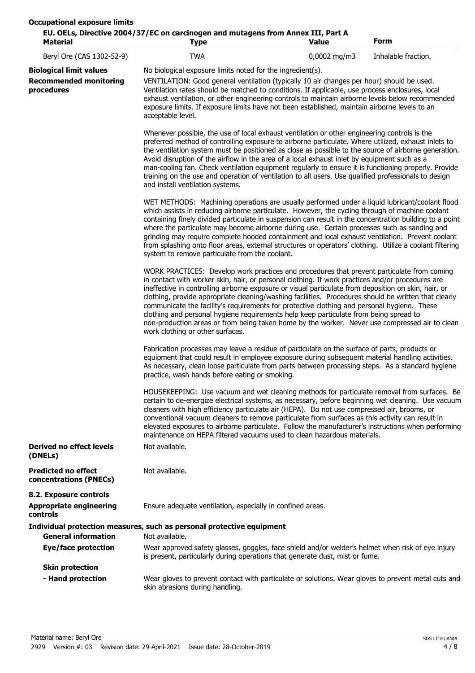| <b>Material</b>                                      | EU. OELs, Directive 2004/37/EC on carcinogen and mutagens from Annex III, Part A<br><b>Type</b>                                                                                                                                                                                                                                                                                                                                                                                                                                                                                                                                                                                                                                              | Value          | <b>Form</b>         |  |
|------------------------------------------------------|----------------------------------------------------------------------------------------------------------------------------------------------------------------------------------------------------------------------------------------------------------------------------------------------------------------------------------------------------------------------------------------------------------------------------------------------------------------------------------------------------------------------------------------------------------------------------------------------------------------------------------------------------------------------------------------------------------------------------------------------|----------------|---------------------|--|
| Beryl Ore (CAS 1302-52-9)                            | <b>TWA</b>                                                                                                                                                                                                                                                                                                                                                                                                                                                                                                                                                                                                                                                                                                                                   | $0,0002$ mg/m3 | Inhalable fraction. |  |
| <b>Biological limit values</b>                       | No biological exposure limits noted for the ingredient(s).                                                                                                                                                                                                                                                                                                                                                                                                                                                                                                                                                                                                                                                                                   |                |                     |  |
| <b>Recommended monitoring</b><br>procedures          | VENTILATION: Good general ventilation (typically 10 air changes per hour) should be used.<br>Ventilation rates should be matched to conditions. If applicable, use process enclosures, local<br>exhaust ventilation, or other engineering controls to maintain airborne levels below recommended<br>exposure limits. If exposure limits have not been established, maintain airborne levels to an<br>acceptable level.                                                                                                                                                                                                                                                                                                                       |                |                     |  |
|                                                      | Whenever possible, the use of local exhaust ventilation or other engineering controls is the<br>preferred method of controlling exposure to airborne particulate. Where utilized, exhaust inlets to<br>the ventilation system must be positioned as close as possible to the source of airborne generation.<br>Avoid disruption of the airflow in the area of a local exhaust inlet by equipment such as a<br>man-cooling fan. Check ventilation equipment regularly to ensure it is functioning properly. Provide<br>training on the use and operation of ventilation to all users. Use qualified professionals to design<br>and install ventilation systems.                                                                               |                |                     |  |
|                                                      | WET METHODS: Machining operations are usually performed under a liquid lubricant/coolant flood<br>which assists in reducing airborne particulate. However, the cycling through of machine coolant<br>containing finely divided particulate in suspension can result in the concentration building to a point<br>where the particulate may become airborne during use. Certain processes such as sanding and<br>grinding may require complete hooded containment and local exhaust ventilation. Prevent coolant<br>from splashing onto floor areas, external structures or operators' clothing. Utilize a coolant filtering<br>system to remove particulate from the coolant.                                                                 |                |                     |  |
|                                                      | WORK PRACTICES: Develop work practices and procedures that prevent particulate from coming<br>in contact with worker skin, hair, or personal clothing. If work practices and/or procedures are<br>ineffective in controlling airborne exposure or visual particulate from deposition on skin, hair, or<br>clothing, provide appropriate cleaning/washing facilities. Procedures should be written that clearly<br>communicate the facility's requirements for protective clothing and personal hygiene. These<br>clothing and personal hygiene requirements help keep particulate from being spread to<br>non-production areas or from being taken home by the worker. Never use compressed air to clean<br>work clothing or other surfaces. |                |                     |  |
|                                                      | Fabrication processes may leave a residue of particulate on the surface of parts, products or<br>equipment that could result in employee exposure during subsequent material handling activities.<br>As necessary, clean loose particulate from parts between processing steps. As a standard hygiene<br>practice, wash hands before eating or smoking.                                                                                                                                                                                                                                                                                                                                                                                      |                |                     |  |
|                                                      | HOUSEKEEPING: Use vacuum and wet cleaning methods for particulate removal from surfaces. Be<br>certain to de-energize electrical systems, as necessary, before beginning wet cleaning. Use vacuum<br>cleaners with high efficiency particulate air (HEPA). Do not use compressed air, brooms, or<br>conventional vacuum cleaners to remove particulate from surfaces as this activity can result in<br>elevated exposures to airborne particulate. Follow the manufacturer's instructions when performing<br>maintenance on HEPA filtered vacuums used to clean hazardous materials.                                                                                                                                                         |                |                     |  |
| <b>Derived no effect levels</b><br>(DNELs)           | Not available.                                                                                                                                                                                                                                                                                                                                                                                                                                                                                                                                                                                                                                                                                                                               |                |                     |  |
| <b>Predicted no effect</b><br>concentrations (PNECs) | Not available.                                                                                                                                                                                                                                                                                                                                                                                                                                                                                                                                                                                                                                                                                                                               |                |                     |  |
| 8.2. Exposure controls                               |                                                                                                                                                                                                                                                                                                                                                                                                                                                                                                                                                                                                                                                                                                                                              |                |                     |  |
| <b>Appropriate engineering</b><br>controls           | Ensure adequate ventilation, especially in confined areas.                                                                                                                                                                                                                                                                                                                                                                                                                                                                                                                                                                                                                                                                                   |                |                     |  |
|                                                      | Individual protection measures, such as personal protective equipment                                                                                                                                                                                                                                                                                                                                                                                                                                                                                                                                                                                                                                                                        |                |                     |  |
| <b>General information</b>                           | Not available.                                                                                                                                                                                                                                                                                                                                                                                                                                                                                                                                                                                                                                                                                                                               |                |                     |  |
| <b>Eye/face protection</b>                           | Wear approved safety glasses, goggles, face shield and/or welder's helmet when risk of eye injury<br>is present, particularly during operations that generate dust, mist or fume.                                                                                                                                                                                                                                                                                                                                                                                                                                                                                                                                                            |                |                     |  |
| <b>Skin protection</b>                               |                                                                                                                                                                                                                                                                                                                                                                                                                                                                                                                                                                                                                                                                                                                                              |                |                     |  |
| - Hand protection                                    | Wear gloves to prevent contact with particulate or solutions. Wear gloves to prevent metal cuts and<br>skin abrasions during handling.                                                                                                                                                                                                                                                                                                                                                                                                                                                                                                                                                                                                       |                |                     |  |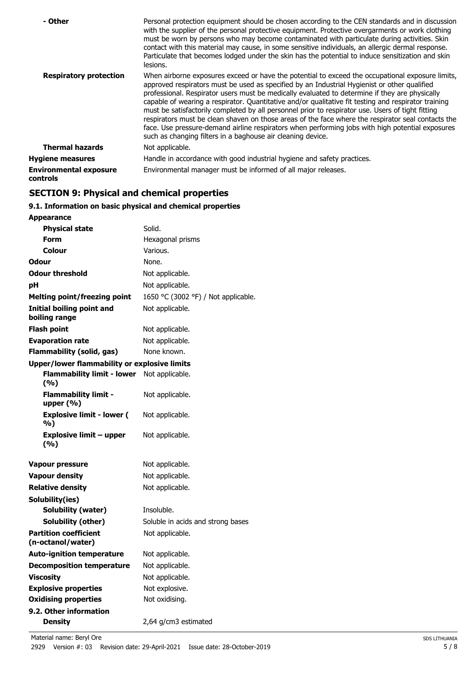| - Other                                          | Personal protection equipment should be chosen according to the CEN standards and in discussion<br>with the supplier of the personal protective equipment. Protective overgarments or work clothing<br>must be worn by persons who may become contaminated with particulate during activities. Skin<br>contact with this material may cause, in some sensitive individuals, an allergic dermal response.<br>Particulate that becomes lodged under the skin has the potential to induce sensitization and skin<br>lesions.                                                                                                                                                                                                                                                                |
|--------------------------------------------------|------------------------------------------------------------------------------------------------------------------------------------------------------------------------------------------------------------------------------------------------------------------------------------------------------------------------------------------------------------------------------------------------------------------------------------------------------------------------------------------------------------------------------------------------------------------------------------------------------------------------------------------------------------------------------------------------------------------------------------------------------------------------------------------|
| <b>Respiratory protection</b>                    | When airborne exposures exceed or have the potential to exceed the occupational exposure limits,<br>approved respirators must be used as specified by an Industrial Hygienist or other qualified<br>professional. Respirator users must be medically evaluated to determine if they are physically<br>capable of wearing a respirator. Quantitative and/or qualitative fit testing and respirator training<br>must be satisfactorily completed by all personnel prior to respirator use. Users of tight fitting<br>respirators must be clean shaven on those areas of the face where the respirator seal contacts the<br>face. Use pressure-demand airline respirators when performing jobs with high potential exposures<br>such as changing filters in a baghouse air cleaning device. |
| <b>Thermal hazards</b>                           | Not applicable.                                                                                                                                                                                                                                                                                                                                                                                                                                                                                                                                                                                                                                                                                                                                                                          |
| <b>Hygiene measures</b>                          | Handle in accordance with good industrial hygiene and safety practices.                                                                                                                                                                                                                                                                                                                                                                                                                                                                                                                                                                                                                                                                                                                  |
| <b>Environmental exposure</b><br><b>controls</b> | Environmental manager must be informed of all major releases.                                                                                                                                                                                                                                                                                                                                                                                                                                                                                                                                                                                                                                                                                                                            |

# **SECTION 9: Physical and chemical properties**

# **9.1. Information on basic physical and chemical properties**

| <b>Appearance</b>                                   |                                     |
|-----------------------------------------------------|-------------------------------------|
| <b>Physical state</b>                               | Solid.                              |
| Form                                                | Hexagonal prisms                    |
| Colour                                              | Various.                            |
| Odour                                               | None.                               |
| <b>Odour threshold</b>                              | Not applicable.                     |
| рH                                                  | Not applicable.                     |
| <b>Melting point/freezing point</b>                 | 1650 °C (3002 °F) / Not applicable. |
| Initial boiling point and<br>boiling range          | Not applicable.                     |
| Flash point                                         | Not applicable.                     |
| <b>Evaporation rate</b>                             | Not applicable.                     |
| <b>Flammability (solid, gas)</b>                    | None known.                         |
| <b>Upper/lower flammability or explosive limits</b> |                                     |
| <b>Flammability limit - lower</b><br>(%)            | Not applicable.                     |
| <b>Flammability limit -</b><br>upper $(\% )$        | Not applicable.                     |
| <b>Explosive limit - lower (</b><br>%)              | Not applicable.                     |
| <b>Explosive limit - upper</b><br>(%)               | Not applicable.                     |
| <b>Vapour pressure</b>                              | Not applicable.                     |
| <b>Vapour density</b>                               | Not applicable.                     |
| <b>Relative density</b>                             | Not applicable.                     |
| Solubility(ies)                                     |                                     |
| <b>Solubility (water)</b>                           | Insoluble.                          |
| Solubility (other)                                  | Soluble in acids and strong bases   |
| <b>Partition coefficient</b><br>(n-octanol/water)   | Not applicable.                     |
| <b>Auto-ignition temperature</b>                    | Not applicable.                     |
| <b>Decomposition temperature</b>                    | Not applicable.                     |
| <b>Viscosity</b>                                    | Not applicable.                     |
| <b>Explosive properties</b>                         | Not explosive.                      |
| <b>Oxidising properties</b>                         | Not oxidising.                      |
| 9.2. Other information                              |                                     |
| <b>Density</b>                                      | 2,64 g/cm3 estimated                |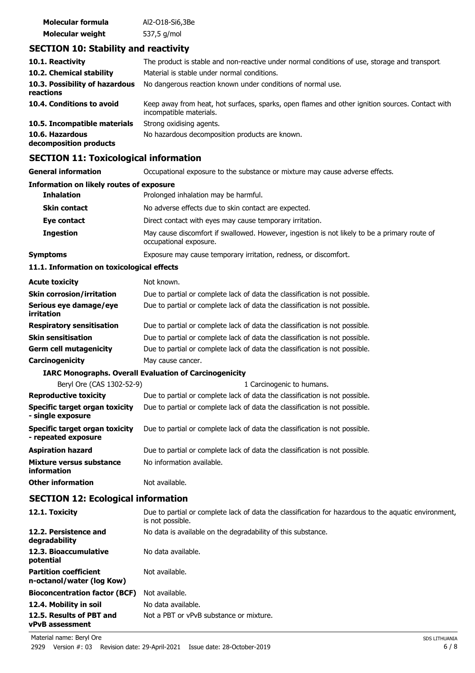| Molecular formula       | Al2-018-Si6,3Be |  |
|-------------------------|-----------------|--|
| <b>Molecular weight</b> | 537,5 g/mol     |  |

# **SECTION 10: Stability and reactivity**

| 10.1. Reactivity                            | The product is stable and non-reactive under normal conditions of use, storage and transport.                              |
|---------------------------------------------|----------------------------------------------------------------------------------------------------------------------------|
| 10.2. Chemical stability                    | Material is stable under normal conditions.                                                                                |
| 10.3. Possibility of hazardous<br>reactions | No dangerous reaction known under conditions of normal use.                                                                |
| 10.4. Conditions to avoid                   | Keep away from heat, hot surfaces, sparks, open flames and other ignition sources. Contact with<br>incompatible materials. |
| 10.5. Incompatible materials                | Strong oxidising agents.                                                                                                   |
| 10.6. Hazardous<br>decomposition products   | No hazardous decomposition products are known.                                                                             |

# **SECTION 11: Toxicological information**

| SLCTION II. TOXICOlOGICAI IIIIOHIAGUUI                |                                                                                                                          |
|-------------------------------------------------------|--------------------------------------------------------------------------------------------------------------------------|
| <b>General information</b>                            | Occupational exposure to the substance or mixture may cause adverse effects.                                             |
| <b>Information on likely routes of exposure</b>       |                                                                                                                          |
| <b>Inhalation</b>                                     | Prolonged inhalation may be harmful.                                                                                     |
| <b>Skin contact</b>                                   | No adverse effects due to skin contact are expected.                                                                     |
| Eye contact                                           | Direct contact with eyes may cause temporary irritation.                                                                 |
| <b>Ingestion</b>                                      | May cause discomfort if swallowed. However, ingestion is not likely to be a primary route of<br>occupational exposure.   |
| <b>Symptoms</b>                                       | Exposure may cause temporary irritation, redness, or discomfort.                                                         |
| 11.1. Information on toxicological effects            |                                                                                                                          |
| <b>Acute toxicity</b>                                 | Not known.                                                                                                               |
| <b>Skin corrosion/irritation</b>                      | Due to partial or complete lack of data the classification is not possible.                                              |
| Serious eye damage/eye<br>irritation                  | Due to partial or complete lack of data the classification is not possible.                                              |
| <b>Respiratory sensitisation</b>                      | Due to partial or complete lack of data the classification is not possible.                                              |
| <b>Skin sensitisation</b>                             | Due to partial or complete lack of data the classification is not possible.                                              |
| <b>Germ cell mutagenicity</b>                         | Due to partial or complete lack of data the classification is not possible.                                              |
| Carcinogenicity                                       | May cause cancer.                                                                                                        |
|                                                       | <b>IARC Monographs. Overall Evaluation of Carcinogenicity</b>                                                            |
| Beryl Ore (CAS 1302-52-9)                             | 1 Carcinogenic to humans.                                                                                                |
| <b>Reproductive toxicity</b>                          | Due to partial or complete lack of data the classification is not possible.                                              |
| Specific target organ toxicity<br>- single exposure   | Due to partial or complete lack of data the classification is not possible.                                              |
| Specific target organ toxicity<br>- repeated exposure | Due to partial or complete lack of data the classification is not possible.                                              |
| <b>Aspiration hazard</b>                              | Due to partial or complete lack of data the classification is not possible.                                              |
| Mixture versus substance<br>information               | No information available.                                                                                                |
| <b>Other information</b>                              | Not available.                                                                                                           |
| <b>SECTION 12: Ecological information</b>             |                                                                                                                          |
| 12.1. Toxicity                                        | Due to partial or complete lack of data the classification for hazardous to the aquatic environment,<br>is not possible. |
| 12.2. Persistence and<br>degradability                | No data is available on the degradability of this substance.                                                             |
| 12.3. Bioaccumulative<br>potential                    | No data available.                                                                                                       |

**Partition coefficient n-octanol/water (log Kow)** Not available.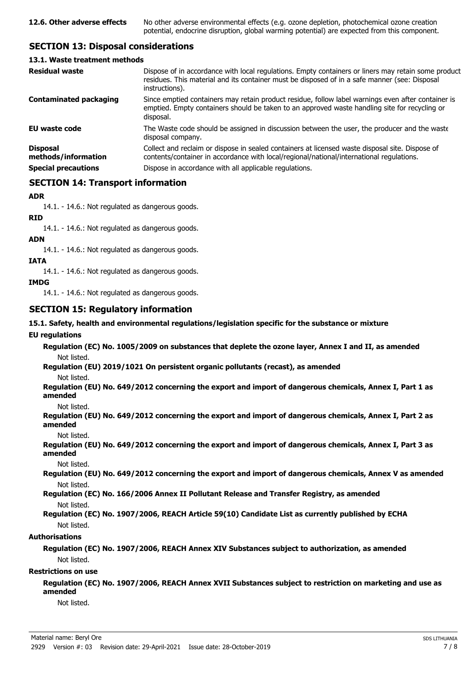# **SECTION 13: Disposal considerations**

#### **13.1. Waste treatment methods**

| <b>Residual waste</b>                                                | Dispose of in accordance with local regulations. Empty containers or liners may retain some product<br>residues. This material and its container must be disposed of in a safe manner (see: Disposal<br>instructions).                                |
|----------------------------------------------------------------------|-------------------------------------------------------------------------------------------------------------------------------------------------------------------------------------------------------------------------------------------------------|
| <b>Contaminated packaging</b>                                        | Since emptied containers may retain product residue, follow label warnings even after container is<br>emptied. Empty containers should be taken to an approved waste handling site for recycling or<br>disposal.                                      |
| <b>EU waste code</b>                                                 | The Waste code should be assigned in discussion between the user, the producer and the waste<br>disposal company.                                                                                                                                     |
| <b>Disposal</b><br>methods/information<br><b>Special precautions</b> | Collect and reclaim or dispose in sealed containers at licensed waste disposal site. Dispose of<br>contents/container in accordance with local/regional/national/international regulations.<br>Dispose in accordance with all applicable regulations. |
|                                                                      |                                                                                                                                                                                                                                                       |

# **SECTION 14: Transport information**

#### **ADR**

14.1. - 14.6.: Not regulated as dangerous goods.

**RID**

14.1. - 14.6.: Not regulated as dangerous goods.

#### **ADN**

14.1. - 14.6.: Not regulated as dangerous goods.

#### **IATA**

14.1. - 14.6.: Not regulated as dangerous goods.

#### **IMDG**

14.1. - 14.6.: Not regulated as dangerous goods.

# **SECTION 15: Regulatory information**

#### **15.1. Safety, health and environmental regulations/legislation specific for the substance or mixture**

#### **EU regulations**

**Regulation (EC) No. 1005/2009 on substances that deplete the ozone layer, Annex I and II, as amended** Not listed.

**Regulation (EU) 2019/1021 On persistent organic pollutants (recast), as amended**

Not listed.

**Regulation (EU) No. 649/2012 concerning the export and import of dangerous chemicals, Annex I, Part 1 as amended**

Not listed.

**Regulation (EU) No. 649/2012 concerning the export and import of dangerous chemicals, Annex I, Part 2 as amended**

Not listed.

**Regulation (EU) No. 649/2012 concerning the export and import of dangerous chemicals, Annex I, Part 3 as amended**

Not listed.

**Regulation (EU) No. 649/2012 concerning the export and import of dangerous chemicals, Annex V as amended** Not listed.

**Regulation (EC) No. 166/2006 Annex II Pollutant Release and Transfer Registry, as amended** Not listed.

# **Regulation (EC) No. 1907/2006, REACH Article 59(10) Candidate List as currently published by ECHA** Not listed.

# **Authorisations**

**Regulation (EC) No. 1907/2006, REACH Annex XIV Substances subject to authorization, as amended** Not listed.

# **Restrictions on use**

**Regulation (EC) No. 1907/2006, REACH Annex XVII Substances subject to restriction on marketing and use as amended**

Not listed.